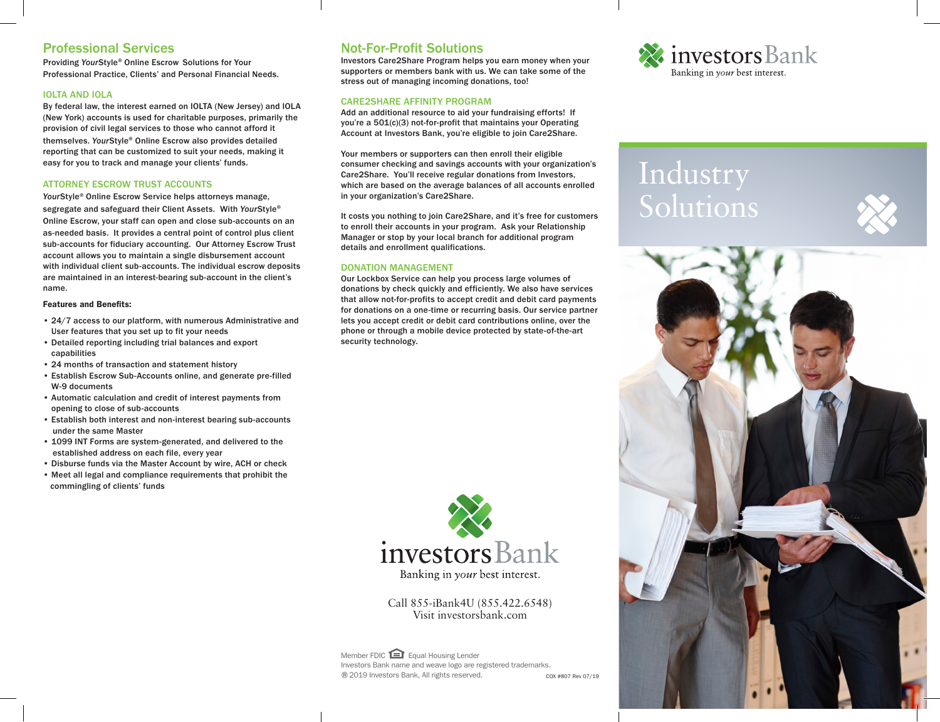# Professional Services

Providing *Your*Style® Online Escrow Solutions for Your Professional Practice, Clients' and Personal Financial Needs.

# IOLTA AND IOLA

By federal law, the interest earned on IOLTA (New Jersey) and IOLA (New York) accounts is used for charitable purposes, primarily the provision of civil legal services to those who cannot afford it themselves. *Your*Style® Online Escrow also provides detailed reporting that can be customized to suit your needs, making it easy for you to track and manage your clients' funds.

## ATTORNEY ESCROW TRUST ACCOUNTS

*Your*Style® Online Escrow Service helps attorneys manage, segregate and safeguard their Client Assets. With *Your*Style® Online Escrow, your staff can open and close sub-accounts on an as-needed basis. It provides a central point of control plus client sub-accounts for fiduciary accounting. Our Attorney Escrow Trust account allows you to maintain a single disbursement account with individual client sub-accounts. The individual escrow deposits are maintained in an interest-bearing sub-account in the client's name.

#### Features and Benefits:

- 24/7 access to our platform, with numerous Administrative and User features that you set up to fit your needs
- Detailed reporting including trial balances and export capabilities
- 24 months of transaction and statement history
- Establish Escrow Sub-Accounts online, and generate pre-filled W-9 documents
- Automatic calculation and credit of interest payments from opening to close of sub-accounts
- Establish both interest and non-interest bearing sub-accounts under the same Master
- 1099 INT Forms are system-generated, and delivered to the established address on each file, every year
- Disburse funds via the Master Account by wire, ACH or check
- Meet all legal and compliance requirements that prohibit the commingling of clients' funds

# Not-For-Profit Solutions

Investors Care2Share Program helps you earn money when your supporters or members bank with us. We can take some of the stress out of managing incoming donations, too!

# CARE2SHARE AFFINITY PROGRAM

Add an additional resource to aid your fundraising efforts! If you're a 501(c)(3) not-for-profit that maintains your Operating Account at Investors Bank, you're eligible to join Care2Share.

Your members or supporters can then enroll their eligible consumer checking and savings accounts with your organization's Care2Share. You'll receive regular donations from Investors, which are based on the average balances of all accounts enrolled in your organization's Care2Share.

It costs you nothing to join Care2Share, and it's free for customers to enroll their accounts in your program. Ask your Relationship Manager or stop by your local branch for additional program details and enrollment qualifications.

## DONATION MANAGEMENT

Our Lockbox Service can help you process large volumes of donations by check quickly and efficiently. We also have services that allow not-for-profits to accept credit and debit card payments for donations on a one-time or recurring basis. Our service partner lets you accept credit or debit card contributions online, over the phone or through a mobile device protected by state-of-the-art security technology.



Call 855-iBank4U (855.422.6548) Visit investorsbank.com

COX #807 Rev 07/19 Member FDIC Equal Housing Lender Investors Bank name and weave logo are registered trademarks. ®2019 Investors Bank, All rights reserved.



# Industry Solutions